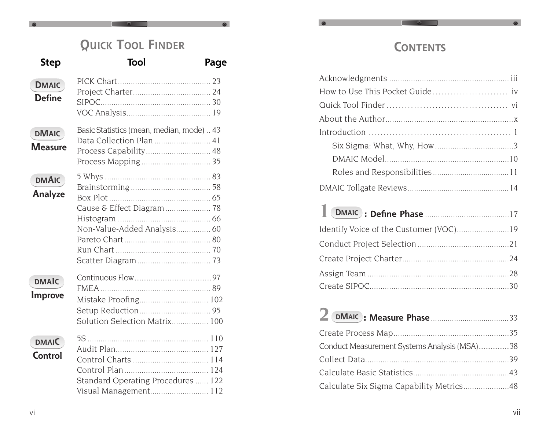## **QUICK TOOL FINDER**

## **Step Tool Page**

 $\infty$ 

| <b>DMAIC</b><br><b>Define</b>  |                                                                      |  |
|--------------------------------|----------------------------------------------------------------------|--|
| <b>DMAIC</b><br>Measure        | Basic Statistics (mean, median, mode) 43<br>Data Collection Plan  41 |  |
| <b>DMAIC</b><br>Analyze        | Non-Value-Added Analysis 60                                          |  |
| <b>DMAIC</b><br><b>Improve</b> | Solution Selection Matrix 100                                        |  |
| <b>DMAIC</b><br>Control        | Standard Operating Procedures  122<br>Visual Management 112          |  |

## **CONTENTS**

| Identify Voice of the Customer (VOC)19 |  |
|----------------------------------------|--|
|                                        |  |
|                                        |  |
|                                        |  |
|                                        |  |

| Conduct Measurement Systems Analysis (MSA)38 |  |
|----------------------------------------------|--|
|                                              |  |
|                                              |  |
| Calculate Six Sigma Capability Metrics48     |  |
|                                              |  |

 $\infty$